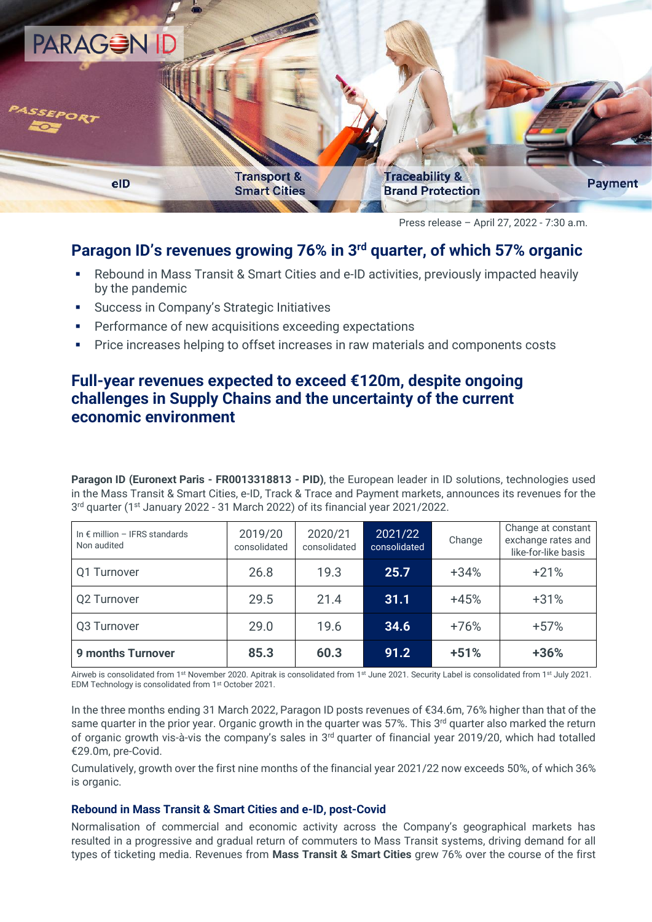

Press release – April 27, 2022 - 7:30 a.m.

## **Paragon ID's revenues growing 76% in 3 rd quarter, of which 57% organic**

- Rebound in Mass Transit & Smart Cities and e-ID activities, previously impacted heavily by the pandemic
- Success in Company's Strategic Initiatives
- Performance of new acquisitions exceeding expectations
- Price increases helping to offset increases in raw materials and components costs

# **Full-year revenues expected to exceed €120m, despite ongoing challenges in Supply Chains and the uncertainty of the current economic environment**

**Paragon ID (Euronext Paris - FR0013318813 - PID)**, the European leader in ID solutions, technologies used in the Mass Transit & Smart Cities, e-ID, Track & Trace and Payment markets, announces its revenues for the 3 rd quarter (1st January 2022 - 31 March 2022) of its financial year 2021/2022.

| In $\epsilon$ million - IFRS standards<br>Non audited | 2019/20<br>consolidated | 2020/21<br>consolidated | 2021/22<br>consolidated | Change | Change at constant<br>exchange rates and<br>like-for-like basis |
|-------------------------------------------------------|-------------------------|-------------------------|-------------------------|--------|-----------------------------------------------------------------|
| Q1 Turnover                                           | 26.8                    | 19.3                    | 25.7                    | $+34%$ | $+21%$                                                          |
| Q2 Turnover                                           | 29.5                    | 21.4                    | 31.1                    | $+45%$ | $+31%$                                                          |
| Q3 Turnover                                           | 29.0                    | 19.6                    | 34.6                    | $+76%$ | $+57%$                                                          |
| <b>9 months Turnover</b>                              | 85.3                    | 60.3                    | 91.2                    | $+51%$ | $+36%$                                                          |

Airweb is consolidated from 1st November 2020. Apitrak is consolidated from 1st June 2021. Security Label is consolidated from 1st July 2021. EDM Technology is consolidated from 1st October 2021.

In the three months ending 31 March 2022, Paragon ID posts revenues of €34.6m, 76% higher than that of the same quarter in the prior year. Organic growth in the quarter was 57%. This 3<sup>rd</sup> quarter also marked the return of organic growth vis-à-vis the company's sales in  $3<sup>rd</sup>$  quarter of financial year 2019/20, which had totalled €29.0m, pre-Covid.

Cumulatively, growth over the first nine months of the financial year 2021/22 now exceeds 50%, of which 36% is organic.

#### **Rebound in Mass Transit & Smart Cities and e-ID, post-Covid**

Normalisation of commercial and economic activity across the Company's geographical markets has resulted in a progressive and gradual return of commuters to Mass Transit systems, driving demand for all types of ticketing media. Revenues from **Mass Transit & Smart Cities** grew 76% over the course of the first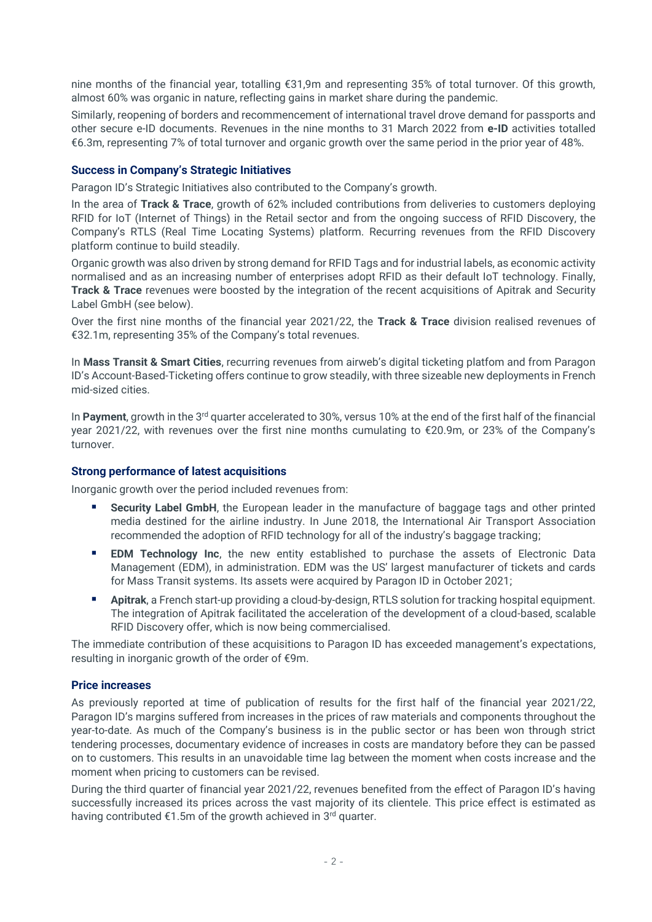nine months of the financial year, totalling €31,9m and representing 35% of total turnover. Of this growth, almost 60% was organic in nature, reflecting gains in market share during the pandemic.

Similarly, reopening of borders and recommencement of international travel drove demand for passports and other secure e-ID documents. Revenues in the nine months to 31 March 2022 from **e-ID** activities totalled €6.3m, representing 7% of total turnover and organic growth over the same period in the prior year of 48%.

## **Success in Company's Strategic Initiatives**

Paragon ID's Strategic Initiatives also contributed to the Company's growth.

In the area of **Track & Trace**, growth of 62% included contributions from deliveries to customers deploying RFID for IoT (Internet of Things) in the Retail sector and from the ongoing success of RFID Discovery, the Company's RTLS (Real Time Locating Systems) platform. Recurring revenues from the RFID Discovery platform continue to build steadily.

Organic growth was also driven by strong demand for RFID Tags and for industrial labels, as economic activity normalised and as an increasing number of enterprises adopt RFID as their default IoT technology. Finally, **Track & Trace** revenues were boosted by the integration of the recent acquisitions of Apitrak and Security Label GmbH (see below).

Over the first nine months of the financial year 2021/22, the **Track & Trace** division realised revenues of €32.1m, representing 35% of the Company's total revenues.

In **Mass Transit & Smart Cities**, recurring revenues from airweb's digital ticketing platfom and from Paragon ID's Account-Based-Ticketing offers continue to grow steadily, with three sizeable new deployments in French mid-sized cities.

In Payment, growth in the 3<sup>rd</sup> quarter accelerated to 30%, versus 10% at the end of the first half of the financial year 2021/22, with revenues over the first nine months cumulating to €20.9m, or 23% of the Company's turnover.

### **Strong performance of latest acquisitions**

Inorganic growth over the period included revenues from:

- **Security Label GmbH**, the European leader in the manufacture of baggage tags and other printed media destined for the airline industry. In June 2018, the International Air Transport Association recommended the adoption of RFID technology for all of the industry's baggage tracking;
- **EDM Technology Inc**, the new entity established to purchase the assets of Electronic Data Management (EDM), in administration. EDM was the US' largest manufacturer of tickets and cards for Mass Transit systems. Its assets were acquired by Paragon ID in October 2021;
- **Apitrak**, a French start-up providing a cloud-by-design, RTLS solution for tracking hospital equipment. The integration of Apitrak facilitated the acceleration of the development of a cloud-based, scalable RFID Discovery offer, which is now being commercialised.

The immediate contribution of these acquisitions to Paragon ID has exceeded management's expectations, resulting in inorganic growth of the order of €9m.

### **Price increases**

As previously reported at time of publication of results for the first half of the financial year 2021/22, Paragon ID's margins suffered from increases in the prices of raw materials and components throughout the year-to-date. As much of the Company's business is in the public sector or has been won through strict tendering processes, documentary evidence of increases in costs are mandatory before they can be passed on to customers. This results in an unavoidable time lag between the moment when costs increase and the moment when pricing to customers can be revised.

During the third quarter of financial year 2021/22, revenues benefited from the effect of Paragon ID's having successfully increased its prices across the vast majority of its clientele. This price effect is estimated as having contributed €1.5m of the growth achieved in 3<sup>rd</sup> quarter.